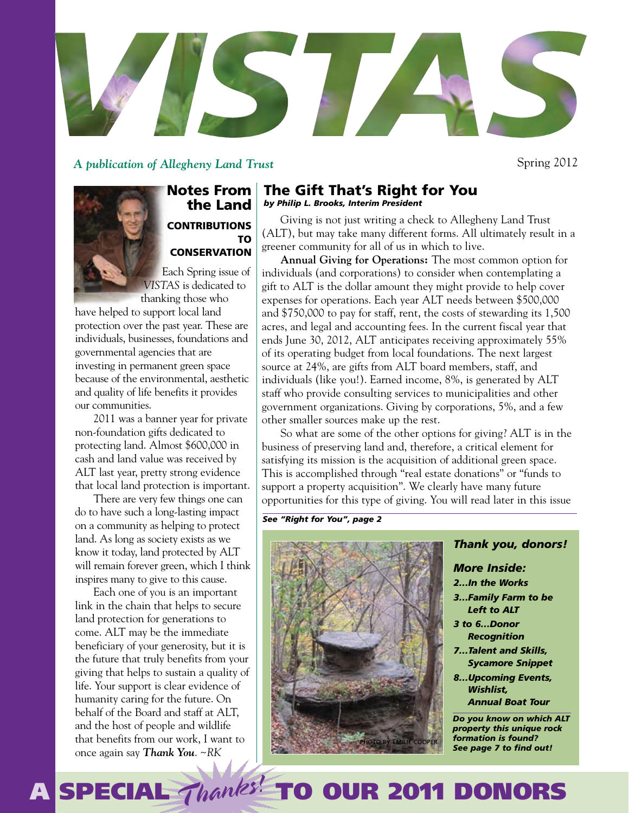

*A publication of Allegheny Land Trust*

Spring 2012

# Notes From the Land **CONTRIBUTIONS** TO **CONSERVATION**

Each Spring issue of *VISTAS* is dedicated to thanking those who

have helped to support local land protection over the past year. These are individuals, businesses, foundations and governmental agencies that are investing in permanent green space because of the environmental, aesthetic and quality of life benefits it provides our communities.

2011 was a banner year for private non-foundation gifts dedicated to protecting land. Almost \$600,000 in cash and land value was received by ALT last year, pretty strong evidence that local land protection is important.

There are very few things one can do to have such a long-lasting impact on a community as helping to protect land. As long as society exists as we know it today, land protected by ALT will remain forever green, which I think inspires many to give to this cause.

Each one of you is an important link in the chain that helps to secure land protection for generations to come. ALT may be the immediate beneficiary of your generosity, but it is the future that truly benefits from your giving that helps to sustain a quality of life. Your support is clear evidence of humanity caring for the future. On behalf of the Board and staff at ALT, and the host of people and wildlife that benefits from our work, I want to once again say *Thank You*. ~*RK*

# The Gift That's Right for You *by Philip L. Brooks, Interim President*

Giving is not just writing a check to Allegheny Land Trust (ALT), but may take many different forms. All ultimately result in a greener community for all of us in which to live.

**Annual Giving for Operations:** The most common option for individuals (and corporations) to consider when contemplating a gift to ALT is the dollar amount they might provide to help cover expenses for operations. Each year ALT needs between \$500,000 and \$750,000 to pay for staff, rent, the costs of stewarding its 1,500 acres, and legal and accounting fees. In the current fiscal year that ends June 30, 2012, ALT anticipates receiving approximately 55% of its operating budget from local foundations. The next largest source at 24%, are gifts from ALT board members, staff, and individuals (like you!). Earned income, 8%, is generated by ALT staff who provide consulting services to municipalities and other government organizations. Giving by corporations, 5%, and a few other smaller sources make up the rest.

So what are some of the other options for giving? ALT is in the business of preserving land and, therefore, a critical element for satisfying its mission is the acquisition of additional green space. This is accomplished through "real estate donations" or "funds to support a property acquisition". We clearly have many future opportunities for this type of giving. You will read later in this issue

*See "Right for You", page 2*

A SPECIAL Thanks! TO OUR 2011 DONORS



# *Thank you, donors!*

# *More Inside:*

*2…In the Works*

*3…Family Farm to be Left to ALT*

- *3 to 6…Donor Recognition*
- *7…Talent and Skills, Sycamore Snippet*
- *8…Upcoming Events, Wishlist, Annual Boat Tour*

*Do you know on which ALT property this unique rock formation is found?*  **See page 7 to find out!**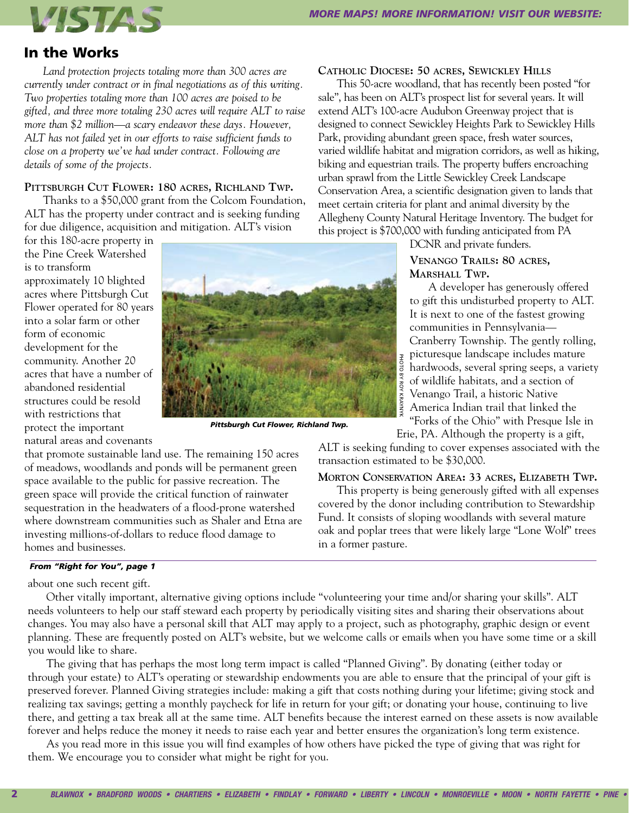

# In the Works

*Land protection projects totaling more than 300 acres are currently under contract or in final negotiations as of this writing. Two properties totaling more than 100 acres are poised to be gifted, and three more totaling 230 acres will require ALT to raise more than \$2 million—a scary endeavor these days. However, ALT has not failed yet in our efforts to raise sufficient funds to close on a property we've had under contract. Following are details of some of the projects.*

# **Pittsburgh Cut Flower: 180 acres, Richland Twp.**

Thanks to a \$50,000 grant from the Colcom Foundation, ALT has the property under contract and is seeking funding for due diligence, acquisition and mitigation. ALT's vision

for this 180-acre property in the Pine Creek Watershed is to transform approximately 10 blighted acres where Pittsburgh Cut Flower operated for 80 years into a solar farm or other form of economic development for the community. Another 20 acres that have a number of abandoned residential structures could be resold with restrictions that protect the important natural areas and covenants



*Pittsburgh Cut Flower, Richland Twp.*

that promote sustainable land use. The remaining 150 acres of meadows, woodlands and ponds will be permanent green space available to the public for passive recreation. The green space will provide the critical function of rainwater sequestration in the headwaters of a flood-prone watershed where downstream communities such as Shaler and Etna are investing millions-of-dollars to reduce flood damage to homes and businesses.

### *From "Right for You", page 1*

about one such recent gift.

Other vitally important, alternative giving options include "volunteering your time and/or sharing your skills". ALT needs volunteers to help our staff steward each property by periodically visiting sites and sharing their observations about changes. You may also have a personal skill that ALT may apply to a project, such as photography, graphic design or event planning. These are frequently posted on ALT's website, but we welcome calls or emails when you have some time or a skill you would like to share.

The giving that has perhaps the most long term impact is called "Planned Giving". By donating (either today or through your estate) to ALT's operating or stewardship endowments you are able to ensure that the principal of your gift is preserved forever. Planned Giving strategies include: making a gift that costs nothing during your lifetime; giving stock and realizing tax savings; getting a monthly paycheck for life in return for your gift; or donating your house, continuing to live there, and getting a tax break all at the same time. ALT benefits because the interest earned on these assets is now available forever and helps reduce the money it needs to raise each year and better ensures the organization's long term existence.

As you read more in this issue you will find examples of how others have picked the type of giving that was right for them. We encourage you to consider what might be right for you.

## **Catholic Diocese: 50 acres, Sewickley Hills**

This 50-acre woodland, that has recently been posted "for sale", has been on ALT's prospect list for several years. It will extend ALT's 100-acre Audubon Greenway project that is designed to connect Sewickley Heights Park to Sewickley Hills Park, providing abundant green space, fresh water sources, varied wildlife habitat and migration corridors, as well as hiking, biking and equestrian trails. The property buffers encroaching urban sprawl from the Little Sewickley Creek Landscape Conservation Area, a scientific designation given to lands that meet certain criteria for plant and animal diversity by the Allegheny County Natural Heritage Inventory. The budget for this project is \$700,000 with funding anticipated from PA

DCNR and private funders.

# **Venango Trails: 80 acres, Marshall Twp.**

A developer has generously offered to gift this undisturbed property to ALT. It is next to one of the fastest growing communities in Pennsylvania— Cranberry Township. The gently rolling, picturesque landscape includes mature hardwoods, several spring seeps, a variety of wildlife habitats, and a section of Venango Trail, a historic Native America Indian trail that linked the "Forks of the Ohio" with Presque Isle in

Erie, PA. Although the property is a gift,

ALT is seeking funding to cover expenses associated with the transaction estimated to be \$30,000.

# **Morton Conservation Area: 33 acres, Elizabeth Twp.**

This property is being generously gifted with all expenses covered by the donor including contribution to Stewardship Fund. It consists of sloping woodlands with several mature oak and poplar trees that were likely large "Lone Wolf" trees in a former pasture.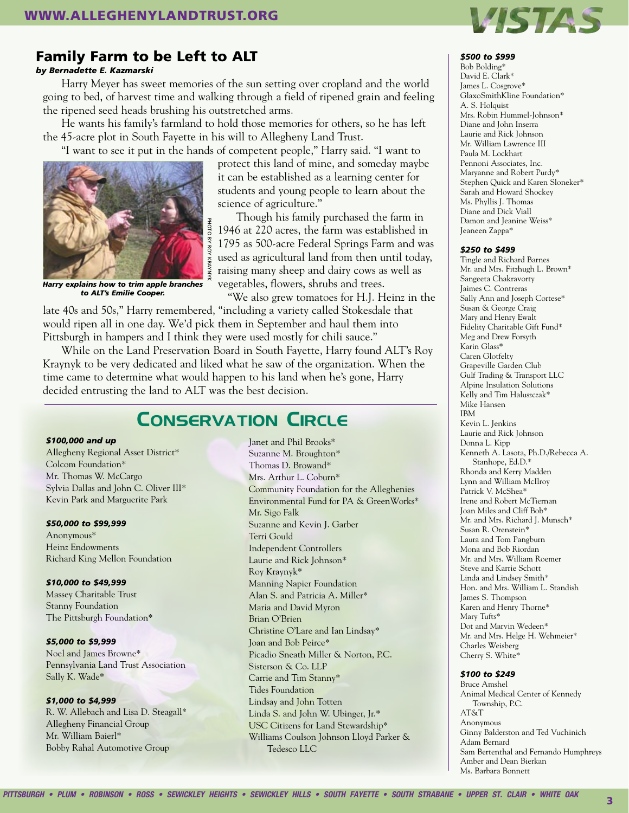

# Family Farm to be Left to ALT

#### *by Bernadette E. Kazmarski*

Harry Meyer has sweet memories of the sun setting over cropland and the world going to bed, of harvest time and walking through a field of ripened grain and feeling the ripened seed heads brushing his outstretched arms.

He wants his family's farmland to hold those memories for others, so he has left the 45-acre plot in South Fayette in his will to Allegheny Land Trust.

"I want to see it put in the hands of competent people," Harry said. "I want to



*Harry explains how to trim apple branches to ALT's Emilie Cooper.*

protect this land of mine, and someday maybe it can be established as a learning center for students and young people to learn about the science of agriculture."

Though his family purchased the farm in 1946 at 220 acres, the farm was established in 1795 as 500-acre Federal Springs Farm and was used as agricultural land from then until today, raising many sheep and dairy cows as well as vegetables, flowers, shrubs and trees.

"We also grew tomatoes for H.J. Heinz in the

late 40s and 50s," Harry remembered, "including a variety called Stokesdale that would ripen all in one day. We'd pick them in September and haul them into Pittsburgh in hampers and I think they were used mostly for chili sauce."

While on the Land Preservation Board in South Fayette, Harry found ALT's Roy Kraynyk to be very dedicated and liked what he saw of the organization. When the time came to determine what would happen to his land when he's gone, Harry decided entrusting the land to ALT was the best decision.

# Conservation Circle

# *\$100,000 and up*

Allegheny Regional Asset District\* Colcom Foundation\* Mr. Thomas W. McCargo Sylvia Dallas and John C. Oliver III\* Kevin Park and Marguerite Park

#### *\$50,000 to \$99,999*

Anonymous\* Heinz Endowments Richard King Mellon Foundation

#### *\$10,000 to \$49,999*

Massey Charitable Trust Stanny Foundation The Pittsburgh Foundation\*

#### *\$5,000 to \$9,999*

Noel and James Browne\* Pennsylvania Land Trust Association Sally K. Wade\*

#### *\$1,000 to \$4,999*

R. W. Allebach and Lisa D. Steagall\* Allegheny Financial Group Mr. William Baierl\* Bobby Rahal Automotive Group

Janet and Phil Brooks\* Suzanne M. Broughton\* Thomas D. Browand\* Mrs. Arthur L. Coburn\* Community Foundation for the Alleghenies Environmental Fund for PA & GreenWorks\* Mr. Sigo Falk Suzanne and Kevin J. Garber Terri Gould Independent Controllers Laurie and Rick Johnson\* Roy Kraynyk\* Manning Napier Foundation Alan S. and Patricia A. Miller\* Maria and David Myron Brian O'Brien Christine O'Lare and Ian Lindsay\* Joan and Bob Peirce\* Picadio Sneath Miller & Norton, P.C. Sisterson & Co. LLP Carrie and Tim Stanny\* Tides Foundation Lindsay and John Totten Linda S. and John W. Ubinger, Jr.\* USC Citizens for Land Stewardship\* Williams Coulson Johnson Lloyd Parker & Tedesco LLC

#### *\$500 to \$999*

Bob Bolding\* David E. Clark\* James L. Cosgrove\* GlaxoSmithKline Foundation\* A. S. Holquist Mrs. Robin Hummel-Johnson\* Diane and John Inserra Laurie and Rick Johnson Mr. William Lawrence III Paula M. Lockhart Pennoni Associates, Inc. Maryanne and Robert Purdy\* Stephen Quick and Karen Sloneker\* Sarah and Howard Shockey Ms. Phyllis J. Thomas Diane and Dick Viall Damon and Jeanine Weiss\* Jeaneen Zappa\*

#### *\$250 to \$499*

Tingle and Richard Barnes Mr. and Mrs. Fitzhugh L. Brown\* Sangeeta Chakravorty Jaimes C. Contreras Sally Ann and Joseph Cortese\* Susan & George Craig Mary and Henry Ewalt Fidelity Charitable Gift Fund\* Meg and Drew Forsyth Karin Glass\* Caren Glotfelty Grapeville Garden Club Gulf Trading & Transport LLC Alpine Insulation Solutions Kelly and Tim Haluszczak\* Mike Hansen IBM Kevin L. Jenkins Laurie and Rick Johnson Donna L. Kipp Kenneth A. Lasota, Ph.D./Rebecca A. Stanhope, Ed.D.\* Rhonda and Kerry Madden Lynn and William McIlroy Patrick V. McShea\* Irene and Robert McTiernan Joan Miles and Cliff Bob\* Mr. and Mrs. Richard J. Munsch\* Susan R. Orenstein\* Laura and Tom Pangburn Mona and Bob Riordan Mr. and Mrs. William Roemer Steve and Karrie Schott Linda and Lindsey Smith\* Hon. and Mrs. William L. Standish James S. Thompson Karen and Henry Thorne\* Mary Tufts\* Dot and Marvin Wedeen\* Mr. and Mrs. Helge H. Wehmeier\* Charles Weisberg Cherry S. White\*

#### *\$100 to \$249*

Bruce Amshel Animal Medical Center of Kennedy Township, P.C. AT&T Anonymous Ginny Balderston and Ted Vuchinich Adam Bernard Sam Bertenthal and Fernando Humphreys Amber and Dean Bierkan Ms. Barbara Bonnett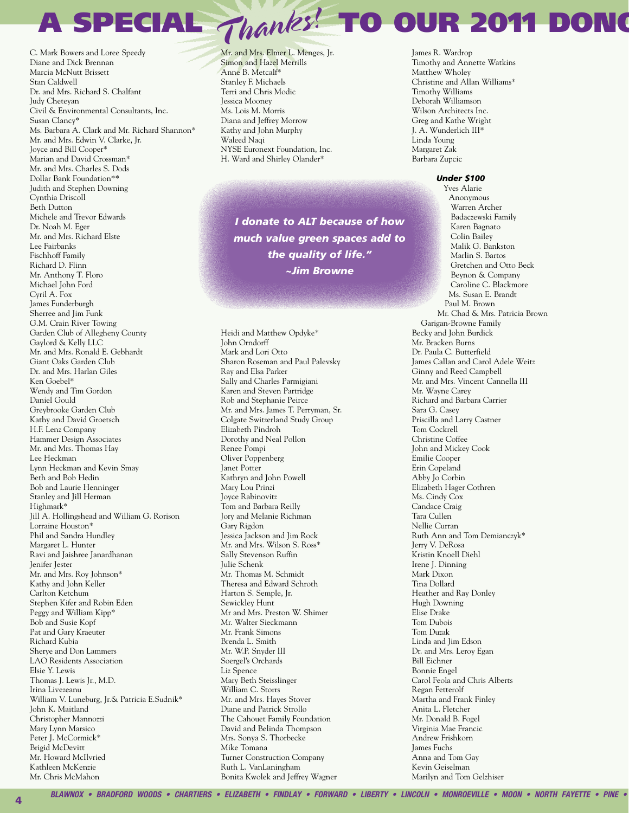A SPECIAL Thanks! TO OUR 2011 DONG

C. Mark Bowers and Loree Speedy Diane and Dick Brennan Marcia McNutt Brissett Stan Caldwell Dr. and Mrs. Richard S. Chalfant Judy Chetevan Civil & Environmental Consultants, Inc. Susan Clancy\* Ms. Barbara A. Clark and Mr. Richard Shannon\* Mr. and Mrs. Edwin V. Clarke, Jr. Joyce and Bill Cooper\* Marian and David Crossman\* Mr. and Mrs. Charles S. Dods Dollar Bank Foundation\*\* Judith and Stephen Downing Cynthia Driscoll **Beth Dutton** Michele and Trevor Edwards Dr. Noah M. Eger Mr. and Mrs. Richard Elste Lee Fairbanks Fischhoff Family Richard D. Flinn Mr. Anthony T. Floro Michael John Ford Cyril A. Fox James Funderburgh Sherree and Jim Funk G.M. Crain River Towing Garden Club of Allegheny County Gaylord & Kelly LLC Mr. and Mrs. Ronald E. Gebhardt Giant Oaks Garden Club Dr. and Mrs. Harlan Giles Ken Goebel\* Wendy and Tim Gordon Daniel Gould Grevbrooke Garden Club Kathy and David Groetsch H.F. Lenz Company Hammer Design Associates Mr. and Mrs. Thomas Hay Lee Heckman Lynn Heckman and Kevin Smay Beth and Bob Hedin Bob and Laurie Henninger Stanley and Jill Herman Highmark\* Jill A. Hollingshead and William G. Rorison Lorraine Houston\* Phil and Sandra Hundley Margaret L. Hunter Ravi and Jaishree Janardhanan Jenifer Jester Mr. and Mrs. Roy Johnson\* Kathy and John Keller Carlton Ketchum Stephen Kifer and Robin Eden Peggy and William Kipp\* Bob and Susie Kopf Pat and Gary Kraeuter Richard Kubia Sherve and Don Lammers LAO Residents Association Elsie Y. Lewis Thomas J. Lewis Jr., M.D. Irina Livezeanu William V. Luneburg, Jr.& Patricia E.Sudnik\* John K. Maitland Christopher Mannozzi Mary Lynn Marsico Peter J. McCormick\* Brigid McDevitt Mr. Howard McIlvried Kathleen McKenzie Mr Chris McMahon

 $\overline{\mathbf{A}}$ 

Mr. and Mrs. Elmer L. Menges, Jr. Simon and Hazel Merrills Anne B. Metcalf\* Stanley F. Michaels Terri and Chris Modic **Iessica Mooney** Ms. Lois M. Morris Diana and Jeffrey Morrow Kathy and John Murphy Waleed Naqi NYSE Euronext Foundation, Inc. H. Ward and Shirley Olander\*

I donate to ALT because of how much value green spaces add to the quality of life." ~Jim Browne

Heidi and Matthew Opdyke\* **John Orndorff** Mark and Lori Otto Sharon Roseman and Paul Palevsky Ray and Elsa Parker Sally and Charles Parmigiani Karen and Steven Partridge Rob and Stephanie Peirce Mr. and Mrs. James T. Perryman, Sr. Colgate Switzerland Study Group Elizabeth Pindroh Dorothy and Neal Pollon Renee Pompi Oliver Poppenberg Janet Potter Kathryn and John Powell Mary Lou Prinzi **Iovce Rabinovitz** Tom and Barbara Reilly Jory and Melanie Richman Gary Rigdon Jessica Jackson and Jim Rock Mr. and Mrs. Wilson S. Ross\* Sally Stevenson Ruffin Julie Schenk Mr. Thomas M. Schmidt Theresa and Edward Schroth Harton S. Semple, Jr. Sewickley Hunt Mr and Mrs. Preston W. Shimer Mr. Walter Sieckmann Mr. Frank Simons Brenda L. Smith Mr. W.P. Snyder III Soergel's Orchards Liz Spence Mary Beth Steisslinger William C. Storrs Mr. and Mrs. Hayes Stover Diane and Patrick Strollo The Cahouet Family Foundation David and Belinda Thompson Mrs. Sonya S. Thorbecke Mike Tomana Turner Construction Company Ruth L. VanLaningham Bonita Kwolek and Jeffrey Wagner

James R. Wardrop Timothy and Annette Watkins Matthew Wholey Christine and Allan Williams\* Timothy Williams Deborah Williamson Wilson Architects Inc. Greg and Kathe Wright J. A. Wunderlich III\* Linda Young Margaret Zak Barbara Zupcic

#### **Under \$100**

**Yves Alarie** Anonymous Warren Archer Badaczewski Family Karen Bagnato Colin Bailey Malik G. Bankston Marlin S. Bartos Gretchen and Otto Beck Beynon & Company Caroline C. Blackmore Ms. Susan E. Brandt Paul M. Brown Mr. Chad & Mrs. Patricia Brown Garigan-Browne Family Becky and John Burdick Mr. Bracken Burns Dr. Paula C. Butterfield James Callan and Carol Adele Weitz Ginny and Reed Campbell Mr. and Mrs. Vincent Cannella III Mr. Wayne Carey Richard and Barbara Carrier Sara G. Casev Priscilla and Larry Castner Tom Cockrell Christine Coffee John and Mickey Cook Emilie Cooper Erin Copeland Abby Io Corbin Elizabeth Hager Cothren Ms. Cindy Cox Candace Craig Tara Cullen Nellie Curran Ruth Ann and Tom Demianczyk\* Jerry V. DeRosa Kristin Knoell Diehl Irene J. Dinning Mark Dixon Tina Dollard Heather and Ray Donley Hugh Downing Elise Drake Tom Dubois Tom Duzak Linda and Jim Edson Dr. and Mrs. Leroy Egan **Bill Eichner** Bonnie Engel Carol Feola and Chris Alberts Regan Fetterolf Martha and Frank Finley Anita L. Fletcher Mr. Donald B. Fogel Virginia Mae Francic Andrew Frishkorn **James Fuchs** Anna and Tom Gay Kevin Geiselman Marilyn and Tom Gelzhiser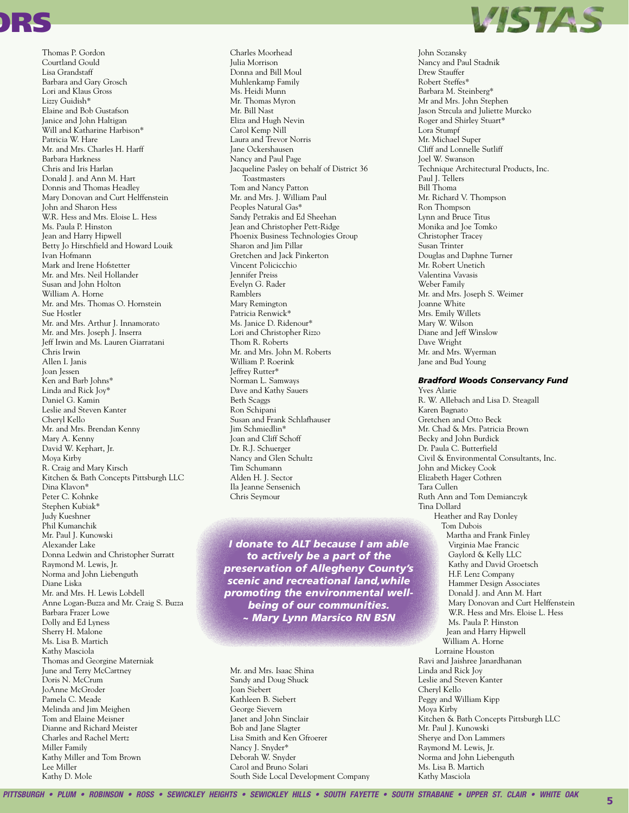

Thomas P. Gordon Courtland Gould Lisa Grandstaff Barbara and Gary Grosch Lori and Klaus Gross Lizzy Guidish\* Elaine and Bob Gustafson Janice and John Haltigan Will and Katharine Harbison\* Patricia W Hare Mr. and Mrs. Charles H. Harff Barbara Harkness Chris and Iris Harlan Donald J. and Ann M. Hart Donnis and Thomas Headley Mary Donovan and Curt Helffenstein John and Sharon Hess W.R. Hess and Mrs. Eloise L. Hess Ms. Paula P. Hinston Jean and Harry Hipwell Betty Jo Hirschfield and Howard Louik Ivan Hofmann Mark and Irene Hofstetter Mr. and Mrs. Neil Hollander Susan and John Holton William A. Horne Mr. and Mrs. Thomas O. Hornstein Sue Hostler Mr. and Mrs. Arthur J. Innamorato Mr. and Mrs. Joseph J. Inserra Jeff Irwin and Ms. Lauren Giarratani Chris Irwin Allen I. Janis Joan Jessen Ken and Barb Johns\* Linda and Rick Joy\* Daniel G. Kamin Leslie and Steven Kanter Cheryl Kello Mr. and Mrs. Brendan Kenny Mary A. Kenny David W. Kephart, Jr. Moya Kirby R. Craig and Mary Kirsch Kitchen & Bath Concepts Pittsburgh LLC Dina Klavon\* Peter C. Kohnke Stephen Kubiak\* Judy Kueshner Phil Kumanchik Mr. Paul J. Kunowski Alexander Lake Donna Ledwin and Christopher Surratt Raymond M. Lewis, Jr. Norma and John Liebenguth Diane Liska Mr. and Mrs. H. Lewis Lobdell Anne Logan-Buzza and Mr. Craig S. Buzza Barbara Frazer Lowe Dolly and Ed Lyness Sherry H. Malone Ms. Lisa B. Martich Kathy Masciola Thomas and Georgine Materniak June and Terry McCartney Doris N. McCrum JoAnne McGroder Pamela C. Meade Melinda and Jim Meighen Tom and Elaine Meisner Dianne and Richard Meister Charles and Rachel Mertz Miller Family Kathy Miller and Tom Brown Lee Miller Kathy D. Mole

Charles Moorhead Julia Morrison Donna and Bill Moul Muhlenkamp Family Ms. Heidi Munn Mr. Thomas Myron Mr. Bill Nast Eliza and Hugh Nevin Carol Kemp Nill Laura and Trevor Norris Jane Ockershausen Nancy and Paul Page Jacqueline Pasley on behalf of District 36 Toastmasters Tom and Nancy Patton Mr. and Mrs. J. William Paul Peoples Natural Gas\* Sandy Petrakis and Ed Sheehan Jean and Christopher Pett-Ridge Phoenix Business Technologies Group Sharon and Jim Pillar Gretchen and Jack Pinkerton Vincent Policicchio Jennifer Preiss Evelyn G. Rader Ramblers Mary Remington Patricia Renwick\* Ms. Janice D. Ridenour\* Lori and Christopher Rizzo Thom R. Roberts Mr. and Mrs. John M. Roberts William P. Roerink Jeffrey Rutter\* Norman L. Samways Dave and Kathy Sauers **Beth Scaggs** Ron Schipani Susan and Frank Schlafhauser Jim Schmiedlin\* Joan and Cliff Schoff Dr. R.J. Schuerger Nancy and Glen Schultz Tim Schumann Alden H. I. Sector Ila Jeanne Sensenich Chris Seymour

I donate to ALT because I am able to actively be a part of the preservation of Allegheny County's scenic and recreational land, while promoting the environmental wellbeing of our communities. ~ Mary Lynn Marsico RN BSN

Mr. and Mrs. Isaac Shina Sandy and Doug Shuck **Joan** Siebert Kathleen B. Siebert George Sievern Janet and John Sinclair Bob and Jane Slagter Lisa Smith and Ken Gfroerer Nancy J. Snyder\* Deborah W. Snyder Carol and Bruno Solari South Side Local Development Company



John Sozansky Nancy and Paul Stadnik Drew Stauffer Robert Steffes\* Barbara M. Steinberg\* Mr and Mrs. John Stephen Jason Strcula and Juliette Murcko Roger and Shirley Stuart\* Lora Stumpf Mr. Michael Super Cliff and Lonnelle Sutliff **Joel W. Swanson** Technique Architectural Products, Inc. Paul J. Tellers Bill Thoma Mr. Richard V. Thompson Ron Thompson Lynn and Bruce Titus Monika and Joe Tomko Christopher Tracey Susan Trinter Douglas and Daphne Turner Mr. Robert Unetich Valentina Vavasis Weber Family Mr. and Mrs. Joseph S. Weimer Joanne White Mrs. Emily Willets Mary W. Wilson Diane and Jeff Winslow Dave Wright Mr. and Mrs. Wyerman Jane and Bud Young

#### **Bradford Woods Conservancy Fund**

**Yves Alarie** R. W. Allebach and Lisa D. Steagall Karen Bagnato Gretchen and Otto Beck Mr. Chad & Mrs. Patricia Brown Becky and John Burdick Dr. Paula C. Butterfield Civil & Environmental Consultants, Inc. John and Mickey Cook Elizabeth Hager Cothren Tara Cullen Ruth Ann and Tom Demianczyk Tina Dollard Heather and Ray Donley Tom Dubois Martha and Frank Finley Virginia Mae Francic Gaylord & Kelly LLC Kathy and David Groetsch H.F. Lenz Company Hammer Design Associates Donald J. and Ann M. Hart Mary Donovan and Curt Helffenstein W.R. Hess and Mrs. Eloise L. Hess Ms. Paula P. Hinston Jean and Harry Hipwell William A. Horne Lorraine Houston Ravi and Jaishree Janardhanan Linda and Rick Joy Leslie and Steven Kanter Cheryl Kello Peggy and William Kipp Moya Kirby Kitchen & Bath Concepts Pittsburgh LLC Mr. Paul J. Kunowski Sherye and Don Lammers Raymond M. Lewis, Jr. Norma and John Liebenguth Ms. Lisa B. Martich Kathy Masciola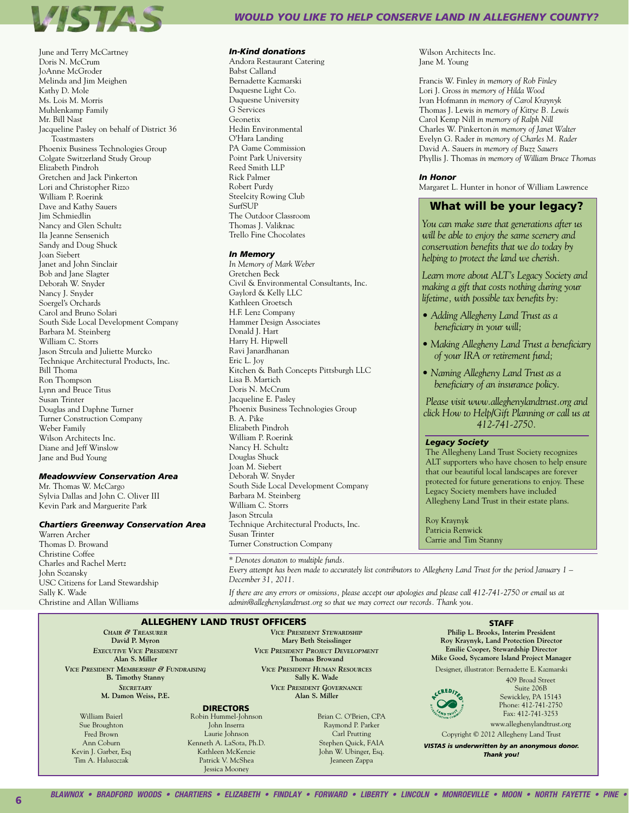

June and Terry McCartney Doris N. McCrum JoAnne McGroder Melinda and Jim Meighen Kathy D. Mole Ms. Lois M. Morris Muhlenkamp Family Mr. Bill Nast Jacqueline Pasley on behalf of District 36 Toastmasters Phoenix Business Technologies Group Colgate Switzerland Study Group Elizabeth Pindroh Gretchen and Jack Pinkerton Lori and Christopher Rizzo William P. Roerink Dave and Kathy Sauers Jim Schmiedlin Nancy and Glen Schultz Ila Jeanne Sensenich Sandy and Doug Shuck Joan Siebert Janet and John Sinclair Bob and Jane Slagter Deborah W. Snyder Nancy J. Snyder Soergel's Orchards Carol and Bruno Solari South Side Local Development Company Barbara M. Steinberg William C. Storrs Jason Strcula and Juliette Murcko Technique Architectural Products, Inc. Bill Thoma Ron Thompson Lynn and Bruce Titus Susan Trinter Douglas and Daphne Turner Turner Construction Company Weber Family Wilson Architects Inc. Diane and Jeff Winslow Jane and Bud Young

#### *Meadowview Conservation Area*

Mr. Thomas W. McCargo Sylvia Dallas and John C. Oliver III Kevin Park and Marguerite Park

#### *Chartiers Greenway Conservation Area*

Warren Archer Thomas D. Browand Christine Coffee Charles and Rachel Mertz John Sozansky USC Citizens for Land Stewardship Sally K. Wade Christine and Allan Williams

# *Would you like TO HELP CONSERVE LAND IN aLLEGHENY COUNTY?*

#### *In-Kind donations*

Andora Restaurant Catering Babst Calland Bernadette Kazmarski Duquesne Light Co. Duquesne University G Services Geonetix Hedin Environmental O'Hara Landing PA Game Commission Point Park University Reed Smith LLP Rick Palmer Robert Purdy Steelcity Rowing Club SurfSUP The Outdoor Classroom Thomas J. Valiknac Trello Fine Chocolates

#### *In Memory*

*In Memory of Mark Weber* Gretchen Beck Civil & Environmental Consultants, Inc. Gaylord & Kelly LLC Kathleen Groetsch H.F. Lenz Company Hammer Design Associates Donald J. Hart Harry H. Hipwell Ravi Janardhanan Eric L. Joy Kitchen & Bath Concepts Pittsburgh LLC Lisa B. Martich Doris N. McCrum Jacqueline E. Pasley Phoenix Business Technologies Group B. A. Pike Elizabeth Pindroh William P. Roerink Nancy H. Schultz Douglas Shuck Joan M. Siebert Deborah W. Snyder South Side Local Development Company Barbara M. Steinberg William C. Storrs Jason Strcula Technique Architectural Products, Inc. Susan Trinter Turner Construction Company

*\* Denotes donaton to multiple funds.*

Wilson Architects Inc. Jane M. Young

Francis W. Finley *in memory of Rob Finley* Lori J. Gross *in memory of Hilda Wood* Ivan Hofmann *in memory of Carol Kraynyk* Thomas J. Lewis *in memory of Kittye B. Lewis* Carol Kemp Nill *in memory of Ralph Nill* Charles W. Pinkerton *in memory of Janet Walter* Evelyn G. Rader *in memory of Charles M. Rader* David A. Sauers *in memory of Buzz Sauers* Phyllis J. Thomas *in memory of William Bruce Thomas*

#### *In Honor*

Margaret L. Hunter in honor of William Lawrence

# What will be your legacy?

*You can make sure that generations after us will be able to enjoy the same scenery and conservation benefits that we do today by helping to protect the land we cherish.*

*Learn more about ALT's Legacy Society and making a gift that costs nothing during your lifetime, with possible tax benefits by:*

- *Adding Allegheny Land Trust as a beneficiary in your will;*
- *Making Allegheny Land Trust a beneficiary of your IRA or retirement fund;*
- *Naming Allegheny Land Trust as a beneficiary of an insurance policy.*

*Please visit www.alleghenylandtrust.org and click How to Help/Gift Planning or call us at 412-741-2750.*

#### *Legacy Society*

The Allegheny Land Trust Society recognizes ALT supporters who have chosen to help ensure that our beautiful local landscapes are forever protected for future generations to enjoy. These Legacy Society members have included Allegheny Land Trust in their estate plans.

Roy Kraynyk Patricia Renwick Carrie and Tim Stanny

*Every attempt has been made to accurately list contributors to Allegheny Land Trust for the period January 1 – December 31, 2011.* 

*If there are any errors or omissions, please accept our apologies and please call 412-741-2750 or email us at admin@alleghenylandtrust.org so that we may correct our records. Thank you.*

#### *Chair & Treasurer* Allegheny Land Trust Officers

**David P. Myron** *Executive Vice President* **Alan S. Miller** *Vice President Membership & Fundraising* **B. Timothy Stanny**

*Secretary* **M. Damon Weiss, P.E.**

William Baierl Sue Broughton Fred Brown Ann Coburn Kevin J. Garber, Esq Tim A. Haluszczak

*Vice President Stewardship* **Mary Beth Steisslinger** *Vice President Project Development* **Thomas Browand** *Vice President Human Resources* **Sally K. Wade** *Vice President Governance* **Alan S. Miller**

**DIRECTORS** 

Robin Hummel-Johnson John Inserra Laurie Johnson Kenneth A. LaSota, Ph.D. Kathleen McKenzie

> Patrick V. McShea Jessica Mooney

Brian C. O'Brien, CPA Raymond P. Parker Carl Prutting Stephen Quick, FAIA John W. Ubinger, Esq. Jeaneen Zappa

**STAFF Philip L. Brooks, Interim President Roy Kraynyk, Land Protection Director Emilie Cooper, Stewardship Director Mike Good, Sycamore Island Project Manager**

Designer, illustrator: Bernadette E. Kazmarski

CCREDITED

409 Broad Street Suite 206B Sewickley, PA 15143 Phone: 412-741-2750 Fax: 412-741-3253

www.alleghenylandtrust.org Copyright © 2012 Allegheny Land Trust

*VISTAS is underwritten by an anonymous donor. Thank you!*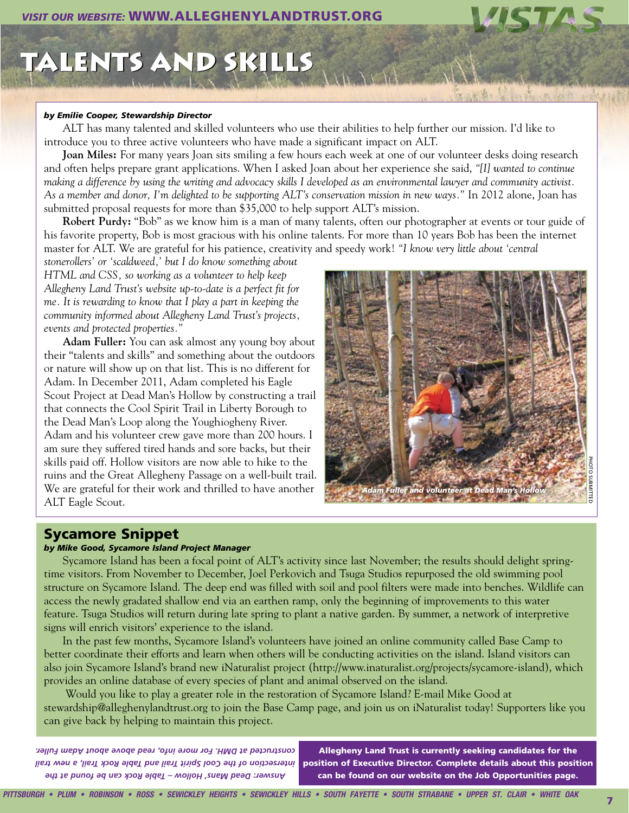# TALENTS AND SKILLS

## *by Emilie Cooper, Stewardship Director*

ALT has many talented and skilled volunteers who use their abilities to help further our mission. I'd like to introduce you to three active volunteers who have made a significant impact on ALT.

**Joan Miles:** For many years Joan sits smiling a few hours each week at one of our volunteer desks doing research and often helps prepare grant applications. When I asked Joan about her experience she said, *"[I] wanted to continue making a difference by using the writing and advocacy skills I developed as an environmental lawyer and community activist. As a member and donor, I'm delighted to be supporting ALT's conservation mission in new ways."* In 2012 alone, Joan has submitted proposal requests for more than \$35,000 to help support ALT's mission.

**Robert Purdy:** "Bob" as we know him is a man of many talents, often our photographer at events or tour guide of his favorite property, Bob is most gracious with his online talents. For more than 10 years Bob has been the internet master for ALT. We are grateful for his patience, creativity and speedy work! *"I know very little about 'central* 

*stonerollers' or 'scaldweed,' but I do know something about HTML and CSS, so working as a volunteer to help keep Allegheny Land Trust's website up-to-date is a perfect fit for me. It is rewarding to know that I play a part in keeping the community informed about Allegheny Land Trust's projects, events and protected properties."*

**Adam Fuller:** You can ask almost any young boy about their "talents and skills" and something about the outdoors or nature will show up on that list. This is no different for Adam. In December 2011, Adam completed his Eagle Scout Project at Dead Man's Hollow by constructing a trail that connects the Cool Spirit Trail in Liberty Borough to the Dead Man's Loop along the Youghiogheny River. Adam and his volunteer crew gave more than 200 hours. I am sure they suffered tired hands and sore backs, but their skills paid off. Hollow visitors are now able to hike to the ruins and the Great Allegheny Passage on a well-built trail. We are grateful for their work and thrilled to have another ALT Eagle Scout.



# Sycamore Snippet

# *by Mike Good, Sycamore Island Project Manager*

Sycamore Island has been a focal point of ALT's activity since last November; the results should delight springtime visitors. From November to December, Joel Perkovich and Tsuga Studios repurposed the old swimming pool structure on Sycamore Island. The deep end was filled with soil and pool filters were made into benches. Wildlife can access the newly gradated shallow end via an earthen ramp, only the beginning of improvements to this water feature. Tsuga Studios will return during late spring to plant a native garden. By summer, a network of interpretive signs will enrich visitors' experience to the island.

In the past few months, Sycamore Island's volunteers have joined an online community called Base Camp to better coordinate their efforts and learn when others will be conducting activities on the island. Island visitors can also join Sycamore Island's brand new iNaturalist project (http://www.inaturalist.org/projects/sycamore-island), which provides an online database of every species of plant and animal observed on the island.

 Would you like to play a greater role in the restoration of Sycamore Island? E-mail Mike Good at stewardship@alleghenylandtrust.org to join the Base Camp page, and join us on iNaturalist today! Supporters like you can give back by helping to maintain this project.

*Answer: Dead Mans' Hollow – Table Rock can be found at the intersection of the Cool Spirit Trail and Table Rock Trail, a new trail constructed at DMH. For more info, read above about Adam Fuller.* 

Allegheny Land Trust is currently seeking candidates for the position of Executive Director. Complete details about this position can be found on our website on the Job Opportunities page.